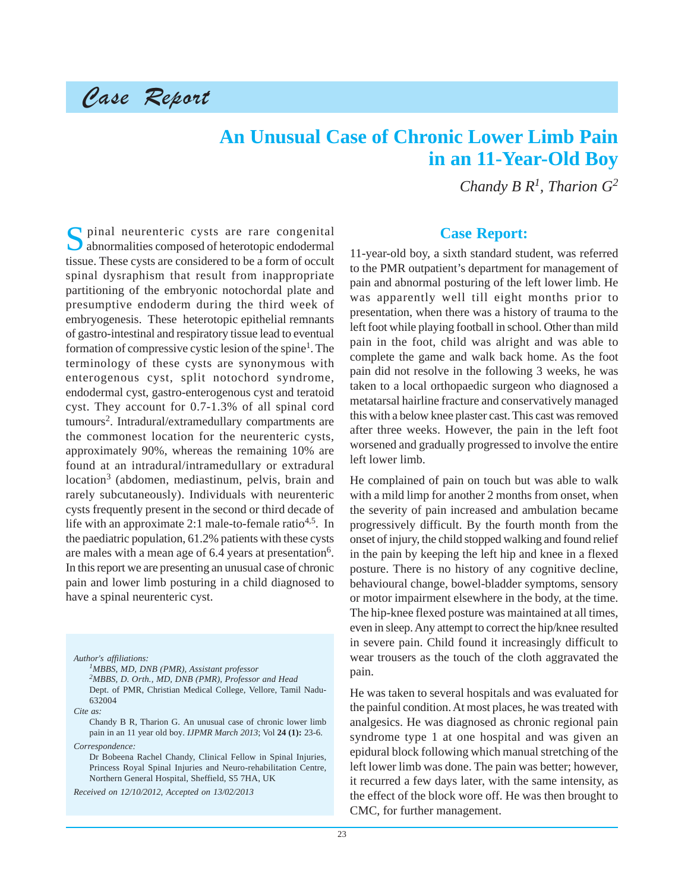# Case Report

## **An Unusual Case of Chronic Lower Limb Pain in an 11-Year-Old Boy**

*Chandy B R1, Tharion G2*

Spinal neurenteric cysts are rare congenital abnormalities composed of heterotopic endodermal tissue. These cysts are considered to be a form of occult spinal dysraphism that result from inappropriate partitioning of the embryonic notochordal plate and presumptive endoderm during the third week of embryogenesis. These heterotopic epithelial remnants of gastro-intestinal and respiratory tissue lead to eventual formation of compressive cystic lesion of the spine<sup>1</sup>. The terminology of these cysts are synonymous with enterogenous cyst, split notochord syndrome, endodermal cyst, gastro-enterogenous cyst and teratoid cyst. They account for 0.7-1.3% of all spinal cord tumours2. Intradural/extramedullary compartments are the commonest location for the neurenteric cysts, approximately 90%, whereas the remaining 10% are found at an intradural/intramedullary or extradural location<sup>3</sup> (abdomen, mediastinum, pelvis, brain and rarely subcutaneously). Individuals with neurenteric cysts frequently present in the second or third decade of life with an approximate 2:1 male-to-female ratio<sup>4,5</sup>. In the paediatric population, 61.2% patients with these cysts are males with a mean age of  $6.4$  years at presentation<sup>6</sup>. In this report we are presenting an unusual case of chronic pain and lower limb posturing in a child diagnosed to have a spinal neurenteric cyst.

*Author's affiliations:*

*1MBBS, MD, DNB (PMR), Assistant professor 2MBBS, D. Orth., MD, DNB (PMR), Professor and Head* Dept. of PMR, Christian Medical College, Vellore, Tamil Nadu-632004

*Cite as:*

Chandy B R, Tharion G. An unusual case of chronic lower limb pain in an 11 year old boy. *IJPMR March 2013*; Vol **24 (1):** 23-6. *Correspondence:*

Dr Bobeena Rachel Chandy, Clinical Fellow in Spinal Injuries, Princess Royal Spinal Injuries and Neuro-rehabilitation Centre, Northern General Hospital, Sheffield, S5 7HA, UK

*Received on 12/10/2012, Accepted on 13/02/2013*

#### **Case Report:**

11-year-old boy, a sixth standard student, was referred to the PMR outpatient's department for management of pain and abnormal posturing of the left lower limb. He was apparently well till eight months prior to presentation, when there was a history of trauma to the left foot while playing football in school. Other than mild pain in the foot, child was alright and was able to complete the game and walk back home. As the foot pain did not resolve in the following 3 weeks, he was taken to a local orthopaedic surgeon who diagnosed a metatarsal hairline fracture and conservatively managed this with a below knee plaster cast. This cast was removed after three weeks. However, the pain in the left foot worsened and gradually progressed to involve the entire left lower limb.

He complained of pain on touch but was able to walk with a mild limp for another 2 months from onset, when the severity of pain increased and ambulation became progressively difficult. By the fourth month from the onset of injury, the child stopped walking and found relief in the pain by keeping the left hip and knee in a flexed posture. There is no history of any cognitive decline, behavioural change, bowel-bladder symptoms, sensory or motor impairment elsewhere in the body, at the time. The hip-knee flexed posture was maintained at all times, even in sleep. Any attempt to correct the hip/knee resulted in severe pain. Child found it increasingly difficult to wear trousers as the touch of the cloth aggravated the pain.

He was taken to several hospitals and was evaluated for the painful condition. At most places, he was treated with analgesics. He was diagnosed as chronic regional pain syndrome type 1 at one hospital and was given an epidural block following which manual stretching of the left lower limb was done. The pain was better; however, it recurred a few days later, with the same intensity, as the effect of the block wore off. He was then brought to CMC, for further management.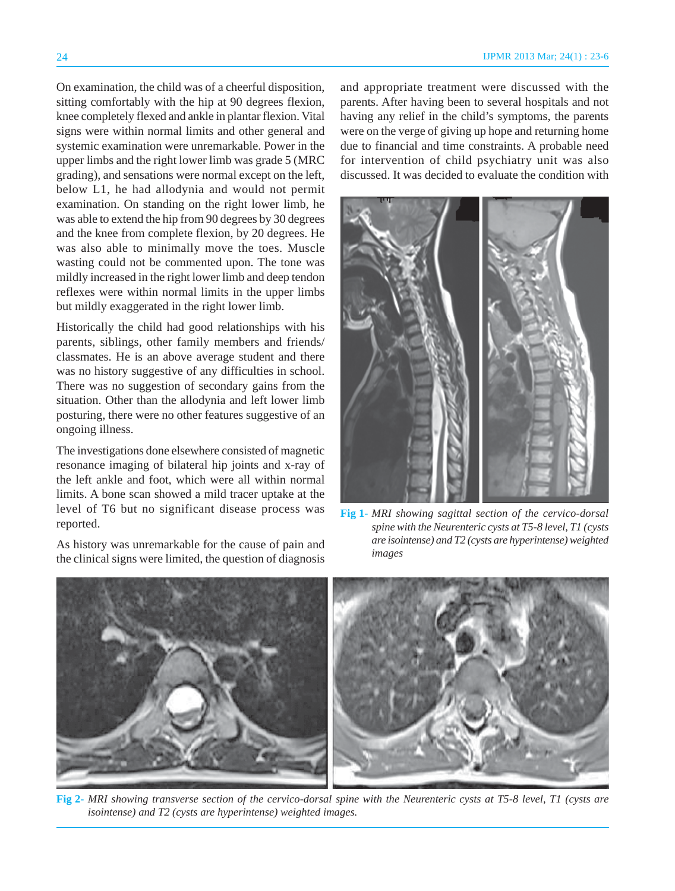On examination, the child was of a cheerful disposition, sitting comfortably with the hip at 90 degrees flexion, knee completely flexed and ankle in plantar flexion. Vital signs were within normal limits and other general and systemic examination were unremarkable. Power in the upper limbs and the right lower limb was grade 5 (MRC grading), and sensations were normal except on the left, below L1, he had allodynia and would not permit examination. On standing on the right lower limb, he was able to extend the hip from 90 degrees by 30 degrees and the knee from complete flexion, by 20 degrees. He was also able to minimally move the toes. Muscle wasting could not be commented upon. The tone was mildly increased in the right lower limb and deep tendon reflexes were within normal limits in the upper limbs but mildly exaggerated in the right lower limb.

Historically the child had good relationships with his parents, siblings, other family members and friends/ classmates. He is an above average student and there was no history suggestive of any difficulties in school. There was no suggestion of secondary gains from the situation. Other than the allodynia and left lower limb posturing, there were no other features suggestive of an ongoing illness.

The investigations done elsewhere consisted of magnetic resonance imaging of bilateral hip joints and x-ray of the left ankle and foot, which were all within normal limits. A bone scan showed a mild tracer uptake at the level of T6 but no significant disease process was reported.

As history was unremarkable for the cause of pain and the clinical signs were limited, the question of diagnosis and appropriate treatment were discussed with the parents. After having been to several hospitals and not having any relief in the child's symptoms, the parents were on the verge of giving up hope and returning home due to financial and time constraints. A probable need for intervention of child psychiatry unit was also discussed. It was decided to evaluate the condition with



**Fig 1-** *MRI showing sagittal section of the cervico-dorsal spine with the Neurenteric cysts at T5-8 level, T1 (cysts are isointense) and T2 (cysts are hyperintense) weighted images*



**Fig 2-** *MRI showing transverse section of the cervico-dorsal spine with the Neurenteric cysts at T5-8 level, T1 (cysts are isointense) and T2 (cysts are hyperintense) weighted images.*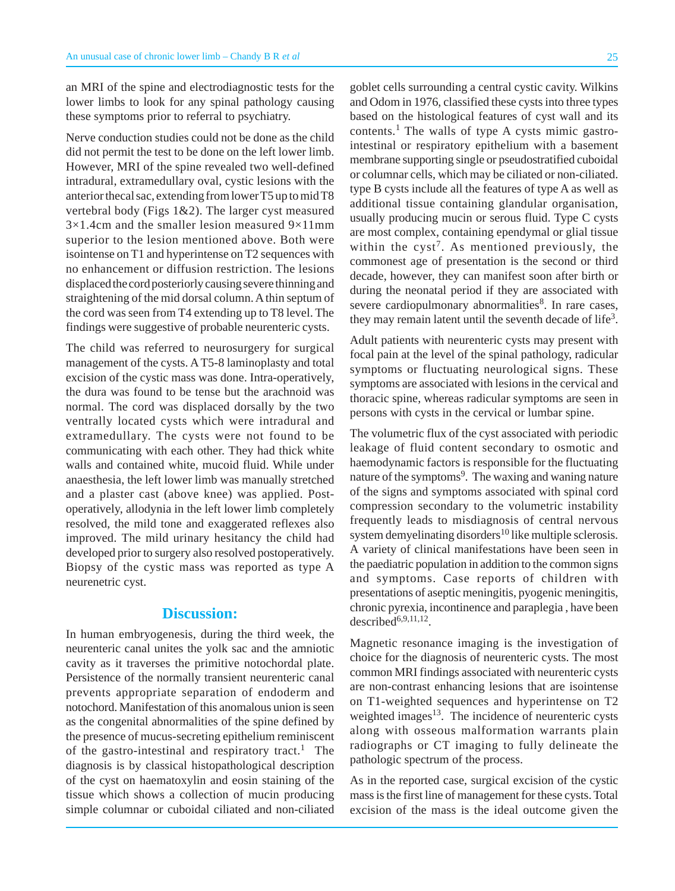an MRI of the spine and electrodiagnostic tests for the lower limbs to look for any spinal pathology causing these symptoms prior to referral to psychiatry.

Nerve conduction studies could not be done as the child did not permit the test to be done on the left lower limb. However, MRI of the spine revealed two well-defined intradural, extramedullary oval, cystic lesions with the anterior thecal sac, extending from lower T5 up to mid T8 vertebral body (Figs 1&2). The larger cyst measured  $3\times1.4$ cm and the smaller lesion measured  $9\times11$ mm superior to the lesion mentioned above. Both were isointense on T1 and hyperintense on T2 sequences with no enhancement or diffusion restriction. The lesions displaced the cord posteriorly causing severe thinning and straightening of the mid dorsal column. A thin septum of the cord was seen from T4 extending up to T8 level. The findings were suggestive of probable neurenteric cysts.

The child was referred to neurosurgery for surgical management of the cysts. A T5-8 laminoplasty and total excision of the cystic mass was done. Intra-operatively, the dura was found to be tense but the arachnoid was normal. The cord was displaced dorsally by the two ventrally located cysts which were intradural and extramedullary. The cysts were not found to be communicating with each other. They had thick white walls and contained white, mucoid fluid. While under anaesthesia, the left lower limb was manually stretched and a plaster cast (above knee) was applied. Postoperatively, allodynia in the left lower limb completely resolved, the mild tone and exaggerated reflexes also improved. The mild urinary hesitancy the child had developed prior to surgery also resolved postoperatively. Biopsy of the cystic mass was reported as type A neurenetric cyst.

#### **Discussion:**

In human embryogenesis, during the third week, the neurenteric canal unites the yolk sac and the amniotic cavity as it traverses the primitive notochordal plate. Persistence of the normally transient neurenteric canal prevents appropriate separation of endoderm and notochord. Manifestation of this anomalous union is seen as the congenital abnormalities of the spine defined by the presence of mucus-secreting epithelium reminiscent of the gastro-intestinal and respiratory tract.<sup>1</sup> The diagnosis is by classical histopathological description of the cyst on haematoxylin and eosin staining of the tissue which shows a collection of mucin producing simple columnar or cuboidal ciliated and non-ciliated

goblet cells surrounding a central cystic cavity. Wilkins and Odom in 1976, classified these cysts into three types based on the histological features of cyst wall and its contents. $<sup>1</sup>$  The walls of type A cysts mimic gastro-</sup> intestinal or respiratory epithelium with a basement membrane supporting single or pseudostratified cuboidal or columnar cells, which may be ciliated or non-ciliated. type B cysts include all the features of type A as well as additional tissue containing glandular organisation, usually producing mucin or serous fluid. Type C cysts are most complex, containing ependymal or glial tissue within the  $cyst<sup>7</sup>$ . As mentioned previously, the commonest age of presentation is the second or third decade, however, they can manifest soon after birth or during the neonatal period if they are associated with severe cardiopulmonary abnormalities<sup>8</sup>. In rare cases, they may remain latent until the seventh decade of life<sup>3</sup>.

Adult patients with neurenteric cysts may present with focal pain at the level of the spinal pathology, radicular symptoms or fluctuating neurological signs. These symptoms are associated with lesions in the cervical and thoracic spine, whereas radicular symptoms are seen in persons with cysts in the cervical or lumbar spine.

The volumetric flux of the cyst associated with periodic leakage of fluid content secondary to osmotic and haemodynamic factors is responsible for the fluctuating nature of the symptoms<sup>9</sup>. The waxing and waning nature of the signs and symptoms associated with spinal cord compression secondary to the volumetric instability frequently leads to misdiagnosis of central nervous system demyelinating disorders<sup>10</sup> like multiple sclerosis. A variety of clinical manifestations have been seen in the paediatric population in addition to the common signs and symptoms. Case reports of children with presentations of aseptic meningitis, pyogenic meningitis, chronic pyrexia, incontinence and paraplegia , have been described $6,9,11,12$ .

Magnetic resonance imaging is the investigation of choice for the diagnosis of neurenteric cysts. The most common MRI findings associated with neurenteric cysts are non-contrast enhancing lesions that are isointense on T1-weighted sequences and hyperintense on T2 weighted images $13$ . The incidence of neurenteric cysts along with osseous malformation warrants plain radiographs or CT imaging to fully delineate the pathologic spectrum of the process.

As in the reported case, surgical excision of the cystic mass is the first line of management for these cysts. Total excision of the mass is the ideal outcome given the